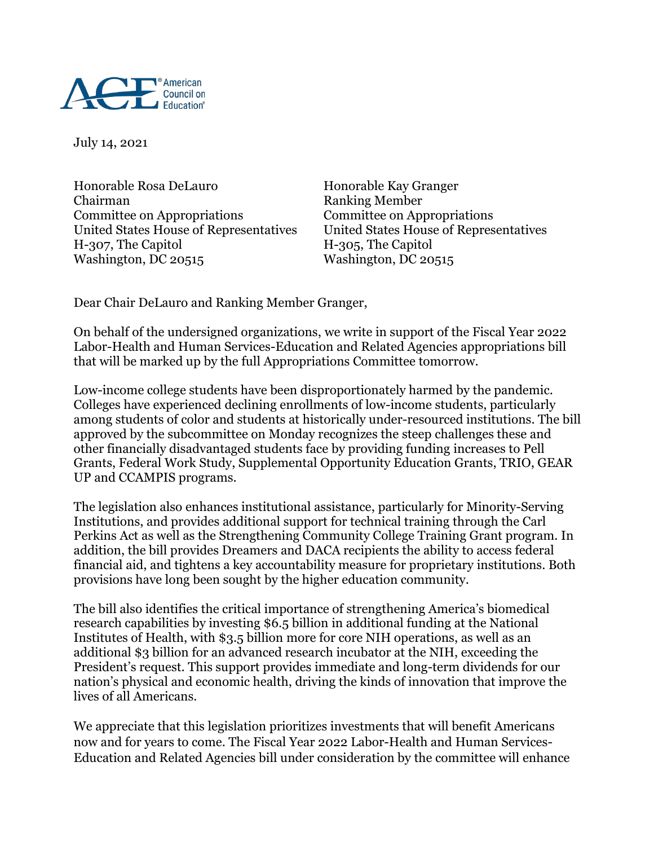

July 14, 2021

Honorable Rosa DeLauro Honorable Kay Granger Chairman Ranking Member Committee on Appropriations Committee on Appropriations United States House of Representatives United States House of Representatives H-307, The Capitol H-305, The Capitol Washington, DC 20515 Washington, DC 20515

Dear Chair DeLauro and Ranking Member Granger,

On behalf of the undersigned organizations, we write in support of the Fiscal Year 2022 Labor-Health and Human Services-Education and Related Agencies appropriations bill that will be marked up by the full Appropriations Committee tomorrow.

Low-income college students have been disproportionately harmed by the pandemic. Colleges have experienced declining enrollments of low-income students, particularly among students of color and students at historically under-resourced institutions. The bill approved by the subcommittee on Monday recognizes the steep challenges these and other financially disadvantaged students face by providing funding increases to Pell Grants, Federal Work Study, Supplemental Opportunity Education Grants, TRIO, GEAR UP and CCAMPIS programs.

The legislation also enhances institutional assistance, particularly for Minority-Serving Institutions, and provides additional support for technical training through the Carl Perkins Act as well as the Strengthening Community College Training Grant program. In addition, the bill provides Dreamers and DACA recipients the ability to access federal financial aid, and tightens a key accountability measure for proprietary institutions. Both provisions have long been sought by the higher education community.

The bill also identifies the critical importance of strengthening America's biomedical research capabilities by investing \$6.5 billion in additional funding at the National Institutes of Health, with \$3.5 billion more for core NIH operations, as well as an additional \$3 billion for an advanced research incubator at the NIH, exceeding the President's request. This support provides immediate and long-term dividends for our nation's physical and economic health, driving the kinds of innovation that improve the lives of all Americans.

We appreciate that this legislation prioritizes investments that will benefit Americans now and for years to come. The Fiscal Year 2022 Labor-Health and Human Services-Education and Related Agencies bill under consideration by the committee will enhance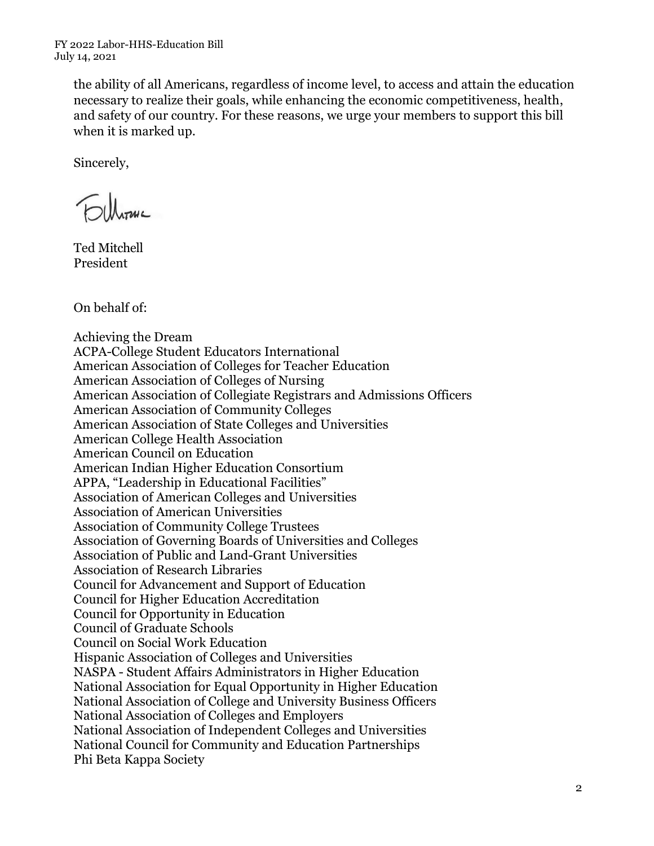the ability of all Americans, regardless of income level, to access and attain the education necessary to realize their goals, while enhancing the economic competitiveness, health, and safety of our country. For these reasons, we urge your members to support this bill when it is marked up.

Sincerely,

Fillways

Ted Mitchell President

On behalf of:

Achieving the Dream ACPA-College Student Educators International American Association of Colleges for Teacher Education American Association of Colleges of Nursing American Association of Collegiate Registrars and Admissions Officers American Association of Community Colleges American Association of State Colleges and Universities American College Health Association American Council on Education American Indian Higher Education Consortium APPA, "Leadership in Educational Facilities" Association of American Colleges and Universities Association of American Universities Association of Community College Trustees Association of Governing Boards of Universities and Colleges Association of Public and Land-Grant Universities Association of Research Libraries Council for Advancement and Support of Education Council for Higher Education Accreditation Council for Opportunity in Education Council of Graduate Schools Council on Social Work Education Hispanic Association of Colleges and Universities NASPA - Student Affairs Administrators in Higher Education National Association for Equal Opportunity in Higher Education National Association of College and University Business Officers National Association of Colleges and Employers National Association of Independent Colleges and Universities National Council for Community and Education Partnerships Phi Beta Kappa Society